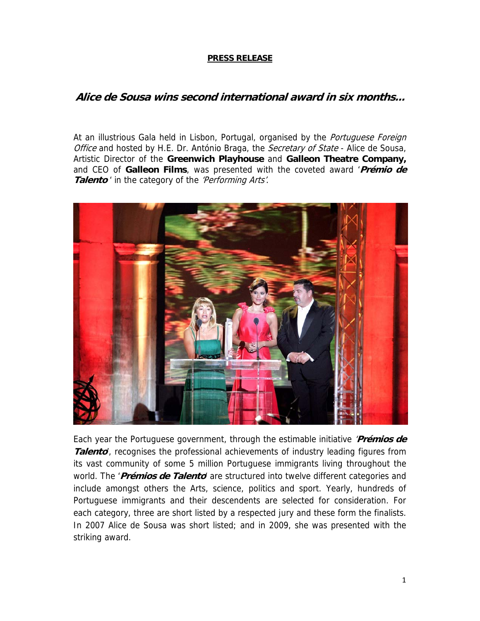## **PRESS RELEASE**

## **Alice de Sousa wins second international award in six months...**

At an illustrious Gala held in Lisbon, Portugal, organised by the Portuguese Foreign Office and hosted by H.E. Dr. António Braga, the *Secretary of State* - Alice de Sousa, Artistic Director of the **Greenwich Playhouse** and **Galleon Theatre Company,** and CEO of **Galleon Films**, was presented with the coveted award '**Prémio de**  Talento<sup>'</sup> in the category of the 'Performing Arts'.



Each year the Portuguese government, through the estimable initiative '**Prémios de**  Talento<sup>'</sup>, recognises the professional achievements of industry leading figures from its vast community of some 5 million Portuguese immigrants living throughout the world. The '**Prémios de Talento**' are structured into twelve different categories and include amongst others the Arts, science, politics and sport. Yearly, hundreds of Portuguese immigrants and their descendents are selected for consideration. For each category, three are short listed by a respected jury and these form the finalists. In 2007 Alice de Sousa was short listed; and in 2009, she was presented with the striking award.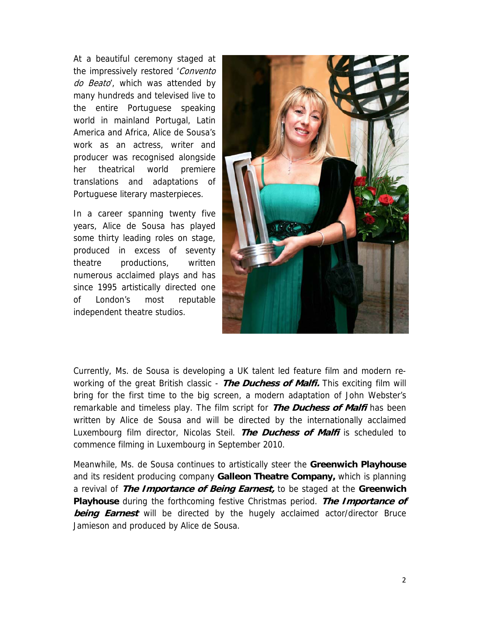At a beautiful ceremony staged at the impressively restored 'Convento do Beato, which was attended by many hundreds and televised live to the entire Portuguese speaking world in mainland Portugal, Latin America and Africa, Alice de Sousa's work as an actress, writer and producer was recognised alongside her theatrical world premiere translations and adaptations of Portuguese literary masterpieces.

In a career spanning twenty five years, Alice de Sousa has played some thirty leading roles on stage, produced in excess of seventy theatre productions, written numerous acclaimed plays and has since 1995 artistically directed one of London's most reputable independent theatre studios.



Currently, Ms. de Sousa is developing a UK talent led feature film and modern reworking of the great British classic - **The Duchess of Malfi.** This exciting film will bring for the first time to the big screen, a modern adaptation of John Webster's remarkable and timeless play. The film script for **The Duchess of Malfi** has been written by Alice de Sousa and will be directed by the internationally acclaimed Luxembourg film director, Nicolas Steil. **The Duchess of Malfi** is scheduled to commence filming in Luxembourg in September 2010.

Meanwhile, Ms. de Sousa continues to artistically steer the **Greenwich Playhouse**  and its resident producing company **Galleon Theatre Company,** which is planning a revival of **The Importance of Being Earnest,** to be staged at the **Greenwich Playhouse** during the forthcoming festive Christmas period. **The Importance of being Earnest** will be directed by the hugely acclaimed actor/director Bruce Jamieson and produced by Alice de Sousa.